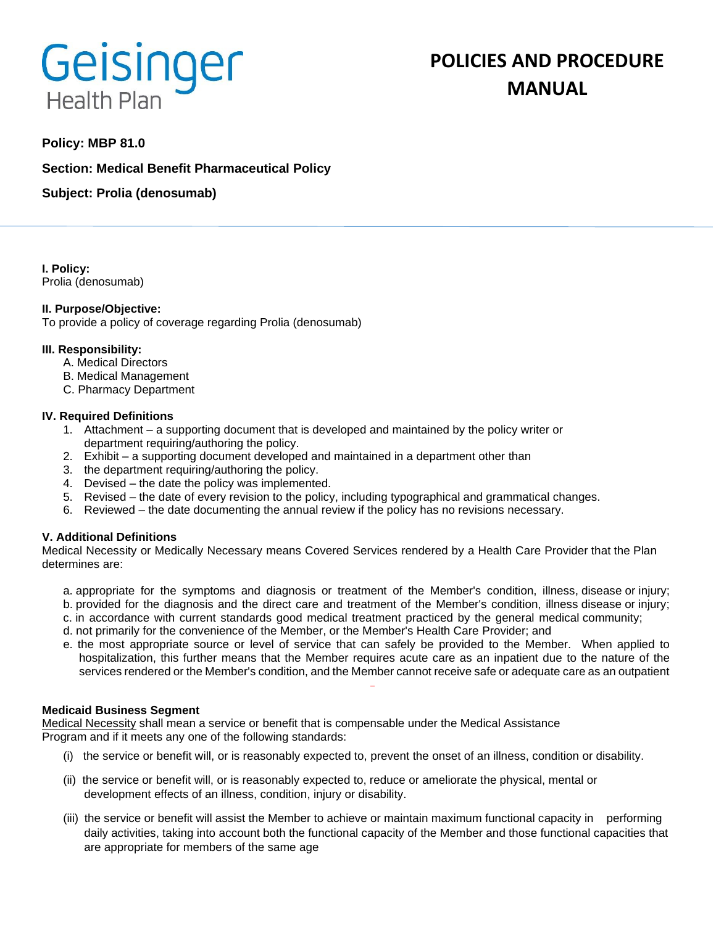# **Geisinger Health Plan**

# **POLICIES AND PROCEDURE MANUAL**

# **Policy: MBP 81.0**

**Section: Medical Benefit Pharmaceutical Policy**

**Subject: Prolia (denosumab)**

**I. Policy:** Prolia (denosumab)

# **II. Purpose/Objective:**

To provide a policy of coverage regarding Prolia (denosumab)

# **III. Responsibility:**

- A. Medical Directors
- B. Medical Management
- C. Pharmacy Department

#### **IV. Required Definitions**

- 1. Attachment a supporting document that is developed and maintained by the policy writer or department requiring/authoring the policy.
- 2. Exhibit a supporting document developed and maintained in a department other than
- 3. the department requiring/authoring the policy.
- 4. Devised the date the policy was implemented.
- 5. Revised the date of every revision to the policy, including typographical and grammatical changes.
- 6. Reviewed the date documenting the annual review if the policy has no revisions necessary.

# **V. Additional Definitions**

Medical Necessity or Medically Necessary means Covered Services rendered by a Health Care Provider that the Plan determines are:

- a. appropriate for the symptoms and diagnosis or treatment of the Member's condition, illness, disease or injury; b. provided for the diagnosis and the direct care and treatment of the Member's condition, illness disease or injury;
- c. in accordance with current standards good medical treatment practiced by the general medical community;
- d. not primarily for the convenience of the Member, or the Member's Health Care Provider; and
- e. the most appropriate source or level of service that can safely be provided to the Member. When applied to hospitalization, this further means that the Member requires acute care as an inpatient due to the nature of the services rendered or the Member's condition, and the Member cannot receive safe or adequate care as an outpatient

#### **Medicaid Business Segment**

Medical Necessity shall mean a service or benefit that is compensable under the Medical Assistance Program and if it meets any one of the following standards:

- (i) the service or benefit will, or is reasonably expected to, prevent the onset of an illness, condition or disability.
- (ii) the service or benefit will, or is reasonably expected to, reduce or ameliorate the physical, mental or development effects of an illness, condition, injury or disability.
- (iii) the service or benefit will assist the Member to achieve or maintain maximum functional capacity in performing daily activities, taking into account both the functional capacity of the Member and those functional capacities that are appropriate for members of the same age